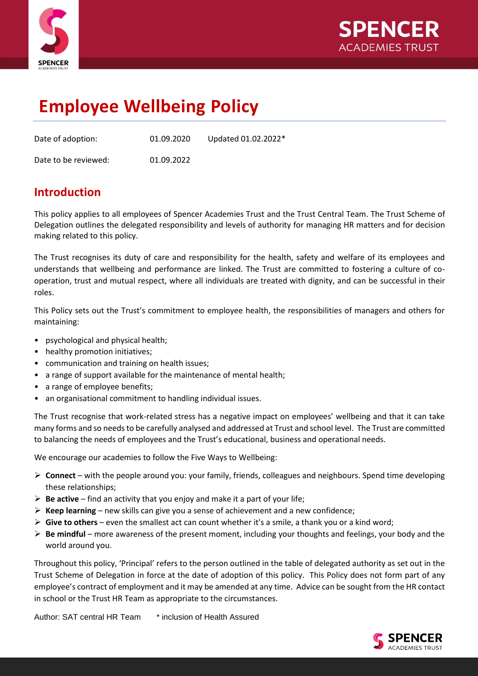



# **Employee Wellbeing Policy**

| Date of adoption:    | 01.09.2020 | Updated 01.02.2022* |
|----------------------|------------|---------------------|
| Date to be reviewed: | 01.09.2022 |                     |

### **Introduction**

This policy applies to all employees of Spencer Academies Trust and the Trust Central Team. The Trust Scheme of Delegation outlines the delegated responsibility and levels of authority for managing HR matters and for decision making related to this policy.

The Trust recognises its duty of care and responsibility for the health, safety and welfare of its employees and understands that wellbeing and performance are linked. The Trust are committed to fostering a culture of cooperation, trust and mutual respect, where all individuals are treated with dignity, and can be successful in their roles.

This Policy sets out the Trust's commitment to employee health, the responsibilities of managers and others for maintaining:

- psychological and physical health;
- healthy promotion initiatives;
- communication and training on health issues;
- a range of support available for the maintenance of mental health;
- a range of employee benefits;
- an organisational commitment to handling individual issues.

The Trust recognise that work-related stress has a negative impact on employees' wellbeing and that it can take many forms and so needs to be carefully analysed and addressed at Trust and school level. The Trust are committed to balancing the needs of employees and the Trust's educational, business and operational needs.

We encourage our academies to follow the Five Ways to Wellbeing:

- ➢ **Connect** with the people around you: your family, friends, colleagues and neighbours. Spend time developing these relationships;
- ➢ **Be active** find an activity that you enjoy and make it a part of your life;
- $\triangleright$  **Keep learning** new skills can give you a sense of achievement and a new confidence;
- ➢ **Give to others** even the smallest act can count whether it's a smile, a thank you or a kind word;
- ➢ **Be mindful** more awareness of the present moment, including your thoughts and feelings, your body and the world around you.

Throughout this policy, 'Principal' refers to the person outlined in the table of delegated authority as set out in the Trust Scheme of Delegation in force at the date of adoption of this policy. This Policy does not form part of any employee's contract of employment and it may be amended at any time. Advice can be sought from the HR contact in school or the Trust HR Team as appropriate to the circumstances.

Author: SAT central HR Team \* inclusion of Health Assured

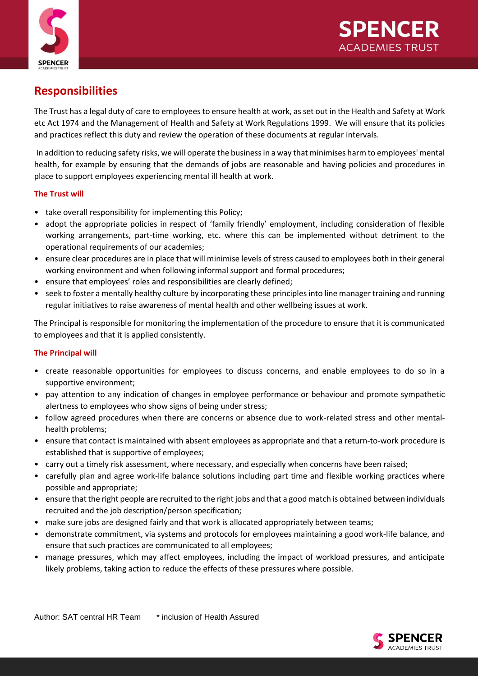

## **Responsibilities**

The Trust has a legal duty of care to employees to ensure health at work, as set out in the Health and Safety at Work etc Act 1974 and the Management of Health and Safety at Work Regulations 1999. We will ensure that its policies and practices reflect this duty and review the operation of these documents at regular intervals.

In addition to reducing safety risks, we will operate the business in a way that minimises harm to employees' mental health, for example by ensuring that the demands of jobs are reasonable and having policies and procedures in place to support employees experiencing mental ill health at work.

### **The Trust will**

- take overall responsibility for implementing this Policy;
- adopt the appropriate policies in respect of 'family friendly' employment, including consideration of flexible working arrangements, part-time working, etc. where this can be implemented without detriment to the operational requirements of our academies;
- ensure clear procedures are in place that will minimise levels of stress caused to employees both in their general working environment and when following informal support and formal procedures;
- ensure that employees' roles and responsibilities are clearly defined;
- seek to foster a mentally healthy culture by incorporating these principles into line manager training and running regular initiatives to raise awareness of mental health and other wellbeing issues at work.

The Principal is responsible for monitoring the implementation of the procedure to ensure that it is communicated to employees and that it is applied consistently.

### **The Principal will**

- create reasonable opportunities for employees to discuss concerns, and enable employees to do so in a supportive environment;
- pay attention to any indication of changes in employee performance or behaviour and promote sympathetic alertness to employees who show signs of being under stress;
- follow agreed procedures when there are concerns or absence due to work-related stress and other mentalhealth problems;
- ensure that contact is maintained with absent employees as appropriate and that a return-to-work procedure is established that is supportive of employees;
- carry out a timely risk assessment, where necessary, and especially when concerns have been raised;
- carefully plan and agree work-life balance solutions including part time and flexible working practices where possible and appropriate;
- ensure that the right people are recruited to the right jobs and that a good match is obtained between individuals recruited and the job description/person specification;
- make sure jobs are designed fairly and that work is allocated appropriately between teams;
- demonstrate commitment, via systems and protocols for employees maintaining a good work-life balance, and ensure that such practices are communicated to all employees;
- manage pressures, which may affect employees, including the impact of workload pressures, and anticipate likely problems, taking action to reduce the effects of these pressures where possible.

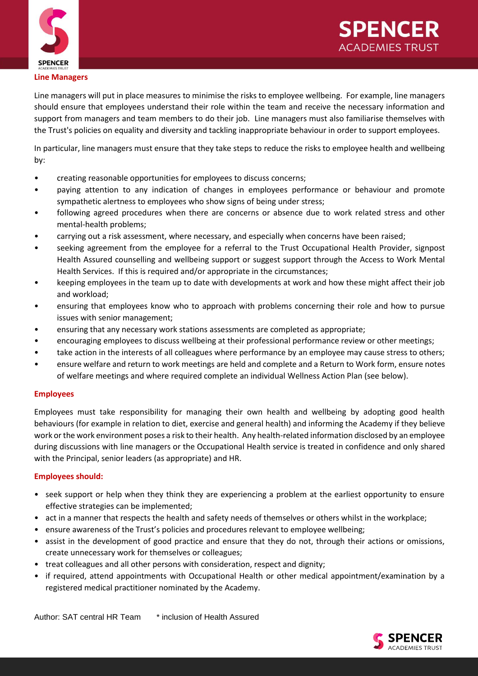



#### **Line Managers**

Line managers will put in place measures to minimise the risks to employee wellbeing. For example, line managers should ensure that employees understand their role within the team and receive the necessary information and support from managers and team members to do their job. Line managers must also familiarise themselves with the Trust's policies on equality and diversity and tackling inappropriate behaviour in order to support employees.

In particular, line managers must ensure that they take steps to reduce the risks to employee health and wellbeing by:

- creating reasonable opportunities for employees to discuss concerns;
- paying attention to any indication of changes in employees performance or behaviour and promote sympathetic alertness to employees who show signs of being under stress;
- following agreed procedures when there are concerns or absence due to work related stress and other mental-health problems;
- carrying out a risk assessment, where necessary, and especially when concerns have been raised;
- seeking agreement from the employee for a referral to the Trust Occupational Health Provider, signpost Health Assured counselling and wellbeing support or suggest support through the Access to Work Mental Health Services. If this is required and/or appropriate in the circumstances;
- keeping employees in the team up to date with developments at work and how these might affect their job and workload;
- ensuring that employees know who to approach with problems concerning their role and how to pursue issues with senior management;
- ensuring that any necessary work stations assessments are completed as appropriate;
- encouraging employees to discuss wellbeing at their professional performance review or other meetings;
- take action in the interests of all colleagues where performance by an employee may cause stress to others;
- ensure welfare and return to work meetings are held and complete and a Return to Work form, ensure notes of welfare meetings and where required complete an individual Wellness Action Plan (see below).

### **Employees**

Employees must take responsibility for managing their own health and wellbeing by adopting good health behaviours (for example in relation to diet, exercise and general health) and informing the Academy if they believe work or the work environment poses a risk to their health. Any health-related information disclosed by an employee during discussions with line managers or the Occupational Health service is treated in confidence and only shared with the Principal, senior leaders (as appropriate) and HR.

### **Employees should:**

- seek support or help when they think they are experiencing a problem at the earliest opportunity to ensure effective strategies can be implemented;
- act in a manner that respects the health and safety needs of themselves or others whilst in the workplace;
- ensure awareness of the Trust's policies and procedures relevant to employee wellbeing;
- assist in the development of good practice and ensure that they do not, through their actions or omissions, create unnecessary work for themselves or colleagues;
- treat colleagues and all other persons with consideration, respect and dignity;
- if required, attend appointments with Occupational Health or other medical appointment/examination by a registered medical practitioner nominated by the Academy.

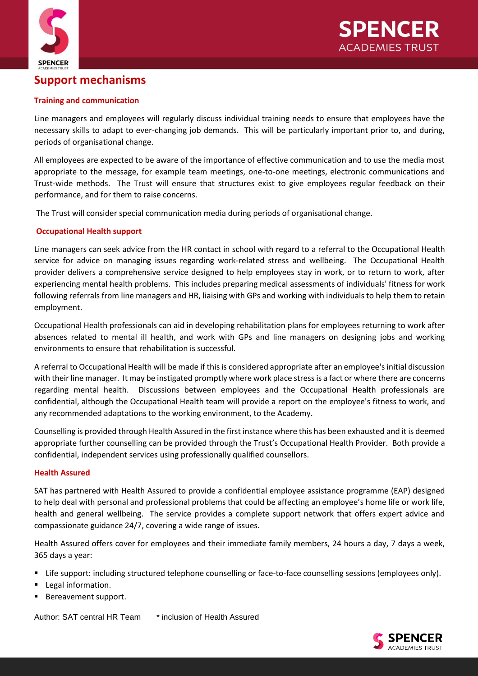



### **Support mechanisms**

### **Training and communication**

Line managers and employees will regularly discuss individual training needs to ensure that employees have the necessary skills to adapt to ever-changing job demands. This will be particularly important prior to, and during, periods of organisational change.

All employees are expected to be aware of the importance of effective communication and to use the media most appropriate to the message, for example team meetings, one-to-one meetings, electronic communications and Trust-wide methods. The Trust will ensure that structures exist to give employees regular feedback on their performance, and for them to raise concerns.

The Trust will consider special communication media during periods of organisational change.

### **Occupational Health support**

Line managers can seek advice from the HR contact in school with regard to a referral to the Occupational Health service for advice on managing issues regarding work-related stress and wellbeing. The Occupational Health provider delivers a comprehensive service designed to help employees stay in work, or to return to work, after experiencing mental health problems. This includes preparing medical assessments of individuals' fitness for work following referrals from line managers and HR, liaising with GPs and working with individuals to help them to retain employment.

Occupational Health professionals can aid in developing rehabilitation plans for employees returning to work after absences related to mental ill health, and work with GPs and line managers on designing jobs and working environments to ensure that rehabilitation is successful.

A referral to Occupational Health will be made if this is considered appropriate after an employee's initial discussion with their line manager. It may be instigated promptly where work place stress is a fact or where there are concerns regarding mental health. Discussions between employees and the Occupational Health professionals are confidential, although the Occupational Health team will provide a report on the employee's fitness to work, and any recommended adaptations to the working environment, to the Academy.

Counselling is provided through Health Assured in the first instance where this has been exhausted and it is deemed appropriate further counselling can be provided through the Trust's Occupational Health Provider. Both provide a confidential, independent services using professionally qualified counsellors.

### **Health Assured**

SAT has partnered with Health Assured to provide a confidential employee assistance programme (EAP) designed to help deal with personal and professional problems that could be affecting an employee's home life or work life, health and general wellbeing. The service provides a complete support network that offers expert advice and compassionate guidance 24/7, covering a wide range of issues.

Health Assured offers cover for employees and their immediate family members, 24 hours a day, 7 days a week, 365 days a year:

- Life support: including structured telephone counselling or face-to-face counselling sessions (employees only).
- Legal information.
- Bereavement support.

Author: SAT central HR Team \* inclusion of Health Assured

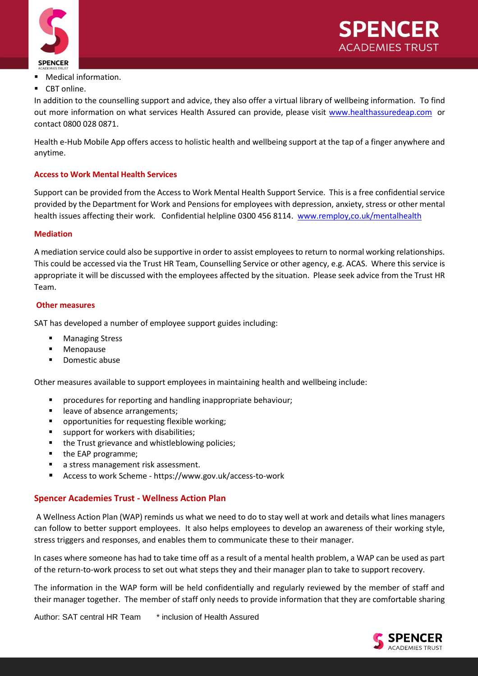



- Medical information.
- CBT online.

In addition to the counselling support and advice, they also offer a virtual library of wellbeing information. To find out more information on what services Health Assured can provide, please visit [www.healthassuredeap.com](http://www.healthassuredeap.com/) or contact 0800 028 0871.

Health e-Hub Mobile App offers access to holistic health and wellbeing support at the tap of a finger anywhere and anytime.

### **Access to Work Mental Health Services**

Support can be provided from the Access to Work Mental Health Support Service. This is a free confidential service provided by the Department for Work and Pensions for employees with depression, anxiety, stress or other mental health issues affecting their work. Confidential helpline 0300 456 8114. [www.remploy,co.uk/mentalhealth](http://www.remploy,co.uk/mentalhealth)

### **Mediation**

A mediation service could also be supportive in order to assist employees to return to normal working relationships. This could be accessed via the Trust HR Team, Counselling Service or other agency, e.g. ACAS. Where this service is appropriate it will be discussed with the employees affected by the situation. Please seek advice from the Trust HR Team.

#### **Other measures**

SAT has developed a number of employee support guides including:

- **Managing Stress**
- Menopause
- Domestic abuse

Other measures available to support employees in maintaining health and wellbeing include:

- procedures for reporting and handling inappropriate behaviour;
- leave of absence arrangements;
- opportunities for requesting flexible working;
- support for workers with disabilities;
- the Trust grievance and whistleblowing policies;
- the EAP programme;
- a stress management risk assessment.
- Access to work Scheme <https://www.gov.uk/access-to-work>

### **Spencer Academies Trust - Wellness Action Plan**

A Wellness Action Plan (WAP) reminds us what we need to do to stay well at work and details what lines managers can follow to better support employees. It also helps employees to develop an awareness of their working style, stress triggers and responses, and enables them to communicate these to their manager.

In cases where someone has had to take time off as a result of a mental health problem, a WAP can be used as part of the return-to-work process to set out what steps they and their manager plan to take to support recovery.

The information in the WAP form will be held confidentially and regularly reviewed by the member of staff and their manager together. The member of staff only needs to provide information that they are comfortable sharing

Author: SAT central HR Team \* inclusion of Health Assured